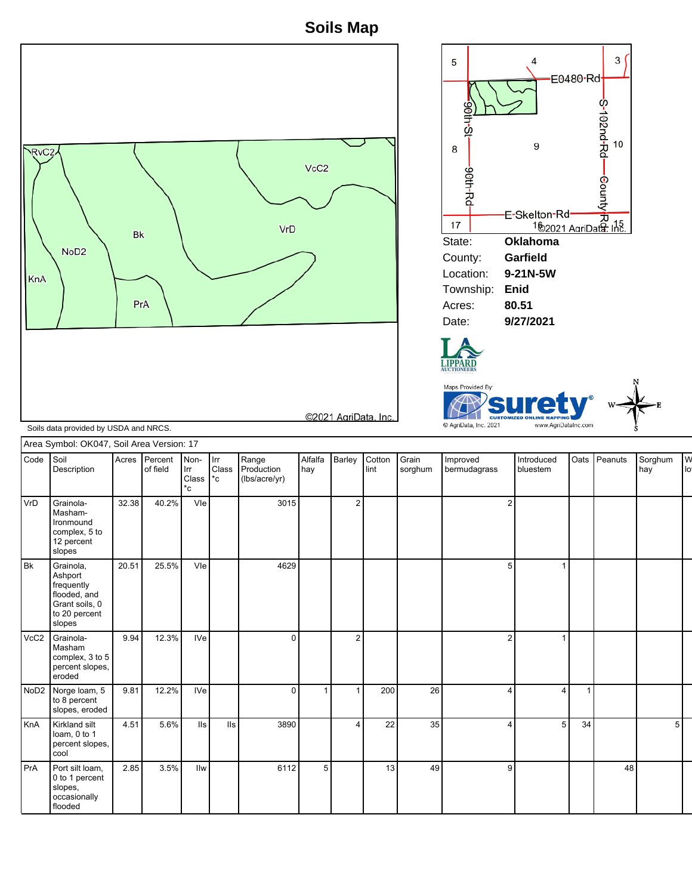**Soils Map**